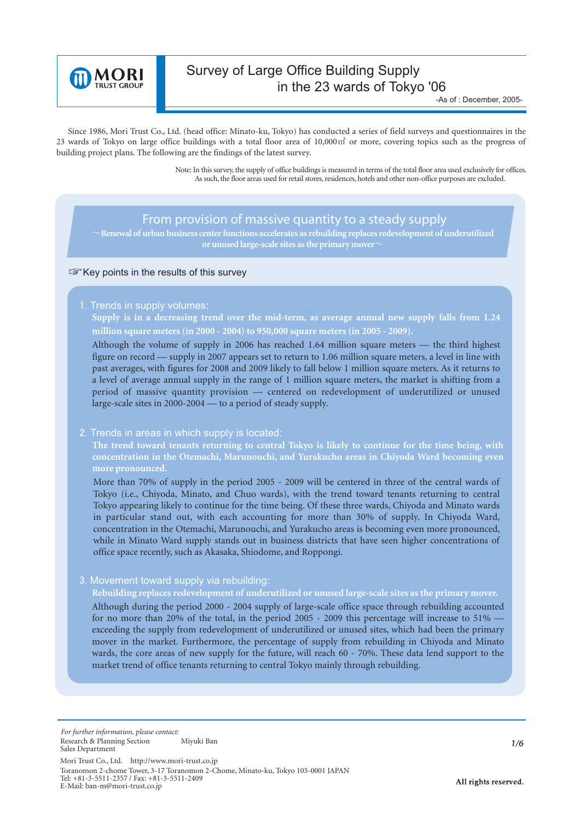

# Survey of Large Office Building Supply in the 23 wards of Tokyo '06

Since 1986, Mori Trust Co., Ltd. (head office: Minato-ku, Tokyo) has conducted a series of field surveys and questionnaires in the 23 wards of Tokyo on large office buildings with a total floor area of  $10,000\,\text{m}^2$  or more, covering topics such as the progress of building project plans. The following are the findings of the latest survey.

> Note: In this survey, the supply of office buildings is measured in terms of the total floor area used exclusively for offices. As such, the floor areas used for retail stores, residences, hotels and other non-office purposes are excluded.

## *From provision of massive quantity to a steady supply*

䌾**Renewal of urban business center functions accelerates as rebuilding replaces redevelopment of underutilized**  or unused large-scale sites as the primary mover

#### Key points in the results of this survey

1. Trends in supply volumes:

 **Supply is in a decreasing trend over the mid-term, as average annual new supply falls from 1.24 million square meters (in 2000 - 2004) to 950,000 square meters (in 2005 - 2009).**

Although the volume of supply in 2006 has reached 1.64 million square meters — the third highest figure on record — supply in 2007 appears set to return to 1.06 million square meters, a level in line with past averages, with figures for 2008 and 2009 likely to fall below 1 million square meters. As it returns to a level of average annual supply in the range of 1 million square meters, the market is shifting from a period of massive quantity provision — centered on redevelopment of underutilized or unused large-scale sites in 2000-2004 — to a period of steady supply.

#### 2. Trends in areas in which supply is located:

**The trend toward tenants returning to central Tokyo is likely to continue for the time being, with concentration in the Otemachi, Marunouchi, and Yurakucho areas in Chiyoda Ward becoming even more pronounced.**

More than 70% of supply in the period 2005 - 2009 will be centered in three of the central wards of Tokyo (i.e., Chiyoda, Minato, and Chuo wards), with the trend toward tenants returning to central Tokyo appearing likely to continue for the time being. Of these three wards, Chiyoda and Minato wards in particular stand out, with each accounting for more than 30% of supply. In Chiyoda Ward, concentration in the Otemachi, Marunouchi, and Yurakucho areas is becoming even more pronounced, while in Minato Ward supply stands out in business districts that have seen higher concentrations of office space recently, such as Akasaka, Shiodome, and Roppongi.

#### 3. Movement toward supply via rebuilding:

**Rebuilding replaces redevelopment of underutilized or unused large-scale sites as the primary mover.**

Although during the period 2000 - 2004 supply of large-scale office space through rebuilding accounted for no more than 20% of the total, in the period 2005 - 2009 this percentage will increase to 51% exceeding the supply from redevelopment of underutilized or unused sites, which had been the primary mover in the market. Furthermore, the percentage of supply from rebuilding in Chiyoda and Minato wards, the core areas of new supply for the future, will reach 60 - 70%. These data lend support to the market trend of office tenants returning to central Tokyo mainly through rebuilding.

*For further information, please contact:* Research & Planning Section **Miyuki Ban** Sales Department

Mori Trust Co., Ltd. http://www.mori-trust.co.jp Toranomon 2-chome Tower, 3-17 Toranomon 2-Chome, Minato-ku, Tokyo 105-0001 JAPAN Tel: +81-3-5511-2357 / Fax: +81-3-5511-2409 E-Mail: ban-m@mori-trust.co.jp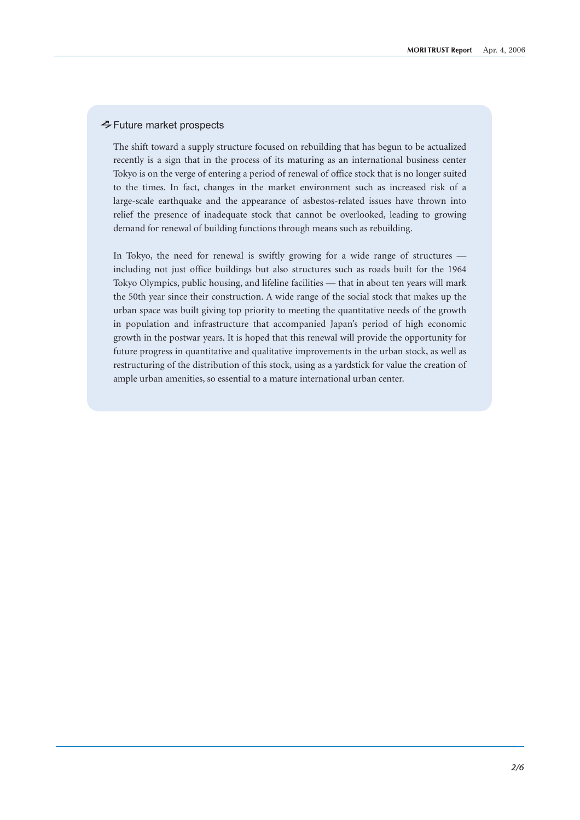### Future market prospects

The shift toward a supply structure focused on rebuilding that has begun to be actualized recently is a sign that in the process of its maturing as an international business center Tokyo is on the verge of entering a period of renewal of office stock that is no longer suited to the times. In fact, changes in the market environment such as increased risk of a large-scale earthquake and the appearance of asbestos-related issues have thrown into relief the presence of inadequate stock that cannot be overlooked, leading to growing demand for renewal of building functions through means such as rebuilding.

In Tokyo, the need for renewal is swiftly growing for a wide range of structures including not just office buildings but also structures such as roads built for the 1964 Tokyo Olympics, public housing, and lifeline facilities — that in about ten years will mark the 50th year since their construction. A wide range of the social stock that makes up the urban space was built giving top priority to meeting the quantitative needs of the growth in population and infrastructure that accompanied Japan's period of high economic growth in the postwar years. It is hoped that this renewal will provide the opportunity for future progress in quantitative and qualitative improvements in the urban stock, as well as restructuring of the distribution of this stock, using as a yardstick for value the creation of ample urban amenities, so essential to a mature international urban center.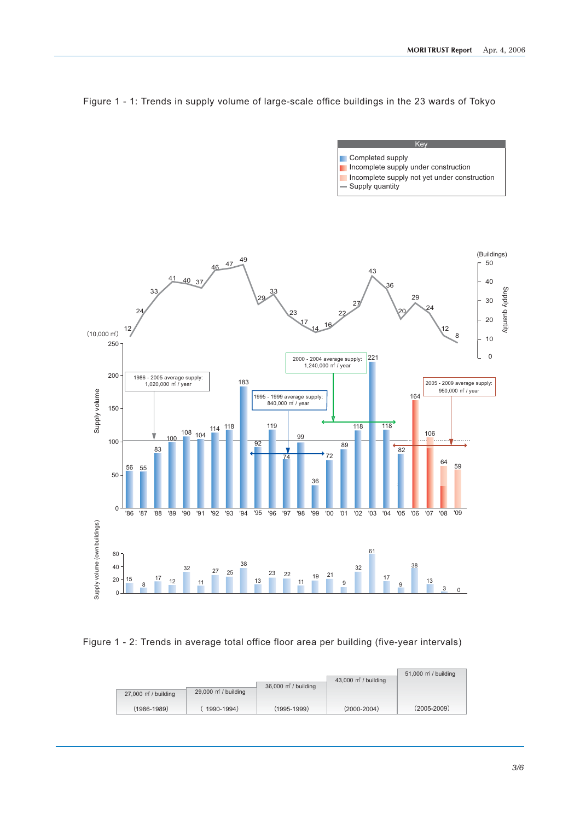**Key** 



Figure 1 - 1: Trends in supply volume of large-scale office buildings in the 23 wards of Tokyo

Figure 1 - 2: Trends in average total office floor area per building (five-year intervals)

| $27,000$ m <sup>2</sup> / building | $29,000$ m <sup>2</sup> / building | 36,000 m <sup>2</sup> / building | 43,000 $\vec{m}$ / building | 51,000 m <sup>2</sup> / building |
|------------------------------------|------------------------------------|----------------------------------|-----------------------------|----------------------------------|
| $(1986 - 1989)$                    | 1990-1994)                         | $(1995 - 1999)$                  | $(2000 - 2004)$             | $(2005 - 2009)$                  |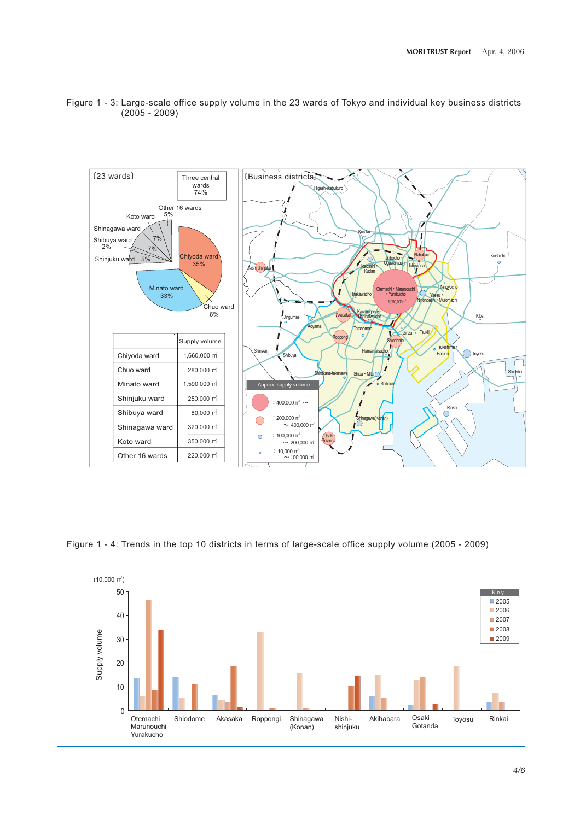



Figure 1 - 4: Trends in the top 10 districts in terms of large-scale office supply volume (2005 - 2009)

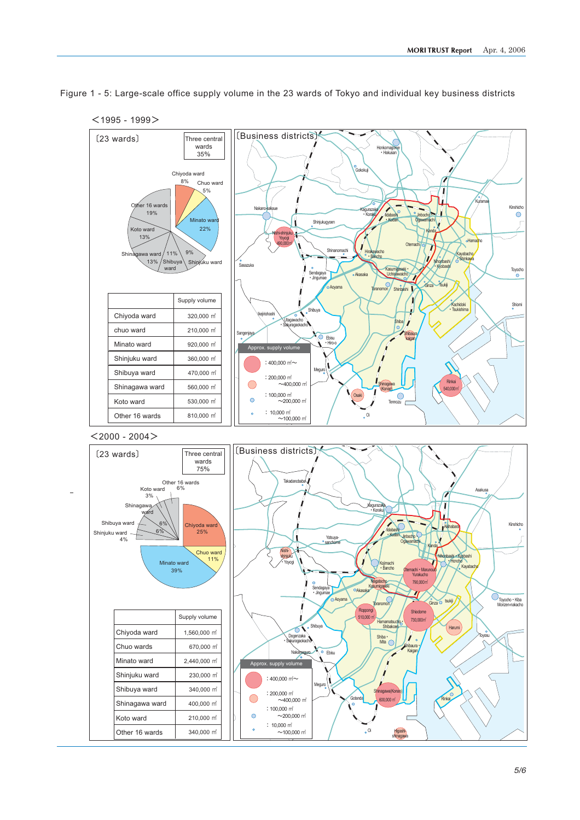

Figure 1 - 5: Large-scale office supply volume in the 23 wards of Tokyo and individual key business districts





shinagawa